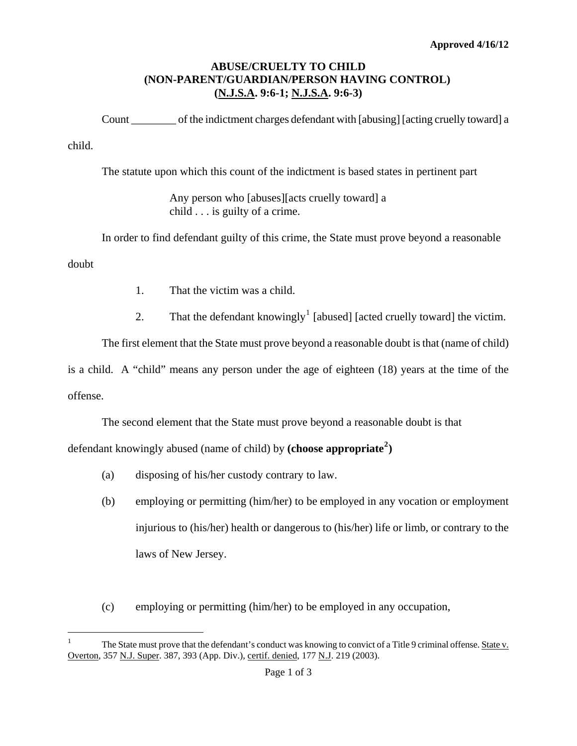## **ABUSE/CRUELTY TO CHILD (NON-PARENT/GUARDIAN/PERSON HAVING CONTROL) (N.J.S.A. 9:6-1; N.J.S.A. 9:6-3)**

Count \_\_\_\_\_\_\_\_ of the indictment charges defendant with [abusing] [acting cruelly toward] a child.

The statute upon which this count of the indictment is based states in pertinent part

Any person who [abuses][acts cruelly toward] a child . . . is guilty of a crime.

In order to find defendant guilty of this crime, the State must prove beyond a reasonable doubt

- 1. That the victim was a child.
- 2. That the defendant knowingly<sup>[1](#page-0-0)</sup> [abused] [acted cruelly toward] the victim.

The first element that the State must prove beyond a reasonable doubt is that (name of child) is a child. A "child" means any person under the age of eighteen (18) years at the time of the offense.

The second element that the State must prove beyond a reasonable doubt is that

defendant knowingly abused (name of child) by **(choose appropriate[2](#page-0-1) )**

(a) disposing of his/her custody contrary to law.

i<br>Li

- (b) employing or permitting (him/her) to be employed in any vocation or employment injurious to (his/her) health or dangerous to (his/her) life or limb, or contrary to the laws of New Jersey.
- (c) employing or permitting (him/her) to be employed in any occupation,

<span id="page-0-2"></span><span id="page-0-1"></span><span id="page-0-0"></span><sup>1</sup> The State must prove that the defendant's conduct was knowing to convict of a Title 9 criminal offense. State v. Overton, 357 N.J. Super. 387, 393 (App. Div.), certif. denied, 177 N.J. 219 (2003).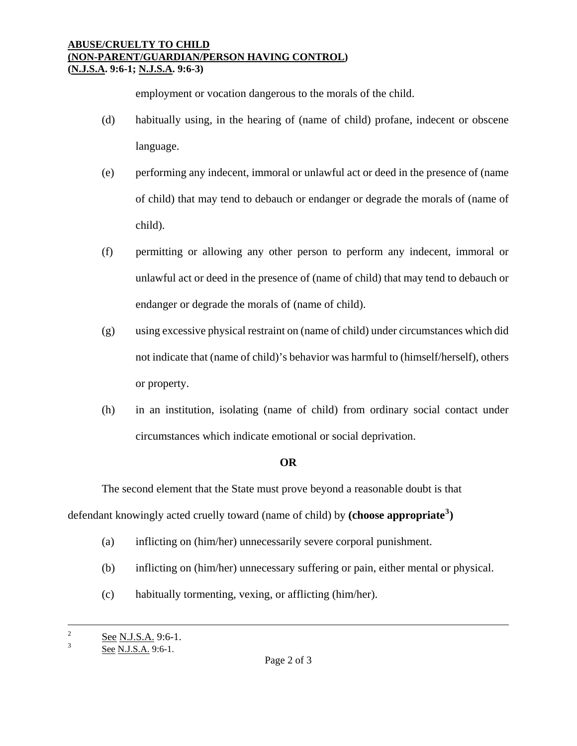## **ABUSE/CRUELTY TO CHILD (NON-PARENT/GUARDIAN/PERSON HAVING CONTROL) (N.J.S.A. 9:6-1; N.J.S.A. 9:6-3)**

employment or vocation dangerous to the morals of the child.

- (d) habitually using, in the hearing of (name of child) profane, indecent or obscene language.
- (e) performing any indecent, immoral or unlawful act or deed in the presence of (name of child) that may tend to debauch or endanger or degrade the morals of (name of child).
- (f) permitting or allowing any other person to perform any indecent, immoral or unlawful act or deed in the presence of (name of child) that may tend to debauch or endanger or degrade the morals of (name of child).
- (g) using excessive physical restraint on (name of child) under circumstances which did not indicate that (name of child)'s behavior was harmful to (himself/herself), others or property.
- (h) in an institution, isolating (name of child) from ordinary social contact under circumstances which indicate emotional or social deprivation.

## **OR**

The second element that the State must prove beyond a reasonable doubt is that defendant knowingly acted cruelly toward (name of child) by **(choose appropriate[3](#page-0-2) )**

- (a) inflicting on (him/her) unnecessarily severe corporal punishment.
- (b) inflicting on (him/her) unnecessary suffering or pain, either mental or physical.
- (c) habitually tormenting, vexing, or afflicting (him/her).

 $\overline{2}$  $\frac{2}{3}$  See N.J.S.A. 9:6-1.

See N.J.S.A. 9:6-1.